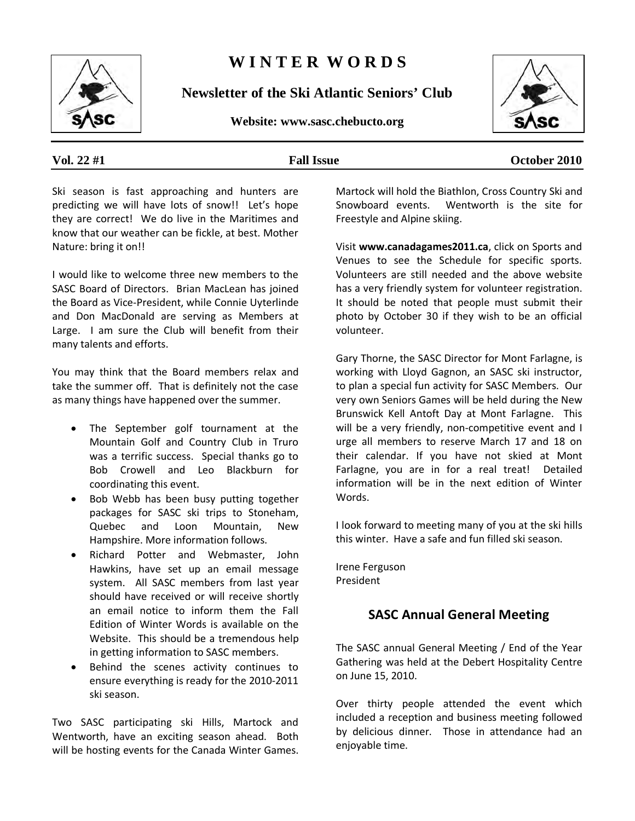

# **W I N T E R W O R D S**

**Newsletter of the Ski Atlantic Seniors' Club**

**Website: www.sasc.chebucto.org**



**Vol. 22 #1 Fall Issue October 2010**

Ski season is fast approaching and hunters are predicting we will have lots of snow!! Let's hope they are correct! We do live in the Maritimes and know that our weather can be fickle, at best. Mother Nature: bring it on!!

I would like to welcome three new members to the SASC Board of Directors. Brian MacLean has joined the Board as Vice-President, while Connie Uyterlinde and Don MacDonald are serving as Members at Large. I am sure the Club will benefit from their many talents and efforts.

You may think that the Board members relax and take the summer off. That is definitely not the case as many things have happened over the summer.

- The September golf tournament at the Mountain Golf and Country Club in Truro was a terrific success. Special thanks go to Bob Crowell and Leo Blackburn for coordinating this event.
- Bob Webb has been busy putting together packages for SASC ski trips to Stoneham, Quebec and Loon Mountain, New Hampshire. More information follows.
- Richard Potter and Webmaster, John Hawkins, have set up an email message system. All SASC members from last year should have received or will receive shortly an email notice to inform them the Fall Edition of Winter Words is available on the Website. This should be a tremendous help in getting information to SASC members.
- Behind the scenes activity continues to ensure everything is ready for the 2010-2011 ski season.

Two SASC participating ski Hills, Martock and Wentworth, have an exciting season ahead. Both will be hosting events for the Canada Winter Games.

Martock will hold the Biathlon, Cross Country Ski and Snowboard events. Wentworth is the site for Freestyle and Alpine skiing.

Visit **www.canadagames2011.ca**, click on Sports and Venues to see the Schedule for specific sports. Volunteers are still needed and the above website has a very friendly system for volunteer registration. It should be noted that people must submit their photo by October 30 if they wish to be an official volunteer.

Gary Thorne, the SASC Director for Mont Farlagne, is working with Lloyd Gagnon, an SASC ski instructor, to plan a special fun activity for SASC Members. Our very own Seniors Games will be held during the New Brunswick Kell Antoft Day at Mont Farlagne. This will be a very friendly, non-competitive event and I urge all members to reserve March 17 and 18 on their calendar. If you have not skied at Mont Farlagne, you are in for a real treat! Detailed information will be in the next edition of Winter Words.

I look forward to meeting many of you at the ski hills this winter. Have a safe and fun filled ski season.

Irene Ferguson President

### **SASC Annual General Meeting**

The SASC annual General Meeting / End of the Year Gathering was held at the Debert Hospitality Centre on June 15, 2010.

Over thirty people attended the event which included a reception and business meeting followed by delicious dinner. Those in attendance had an enjoyable time.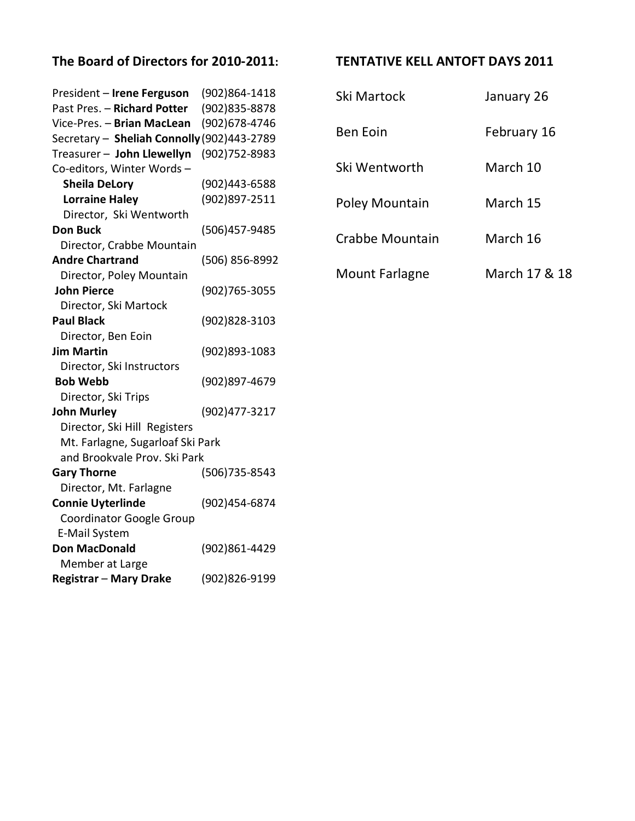### **The Board of Directors for 2010-2011: TENTATIVE KELL ANTOFT DAYS 2011**

| President - Irene Ferguson                 | (902)864-1418  |
|--------------------------------------------|----------------|
| Past Pres. - Richard Potter                | (902)835-8878  |
| Vice-Pres. - Brian MacLean                 | (902) 678-4746 |
| Secretary - Sheliah Connolly (902)443-2789 |                |
| Treasurer - John Llewellyn                 | (902) 752-8983 |
| Co-editors, Winter Words-                  |                |
| <b>Sheila DeLory</b>                       | (902)443-6588  |
| <b>Lorraine Haley</b>                      | (902)897-2511  |
| Director, Ski Wentworth                    |                |
| <b>Don Buck</b>                            | (506)457-9485  |
| Director, Crabbe Mountain                  |                |
| <b>Andre Chartrand</b>                     | (506) 856-8992 |
| Director, Poley Mountain                   |                |
| <b>John Pierce</b>                         | (902)765-3055  |
| Director, Ski Martock                      |                |
| <b>Paul Black</b>                          | (902)828-3103  |
| Director, Ben Eoin                         |                |
| <b>Jim Martin</b>                          | (902)893-1083  |
| Director, Ski Instructors                  |                |
| <b>Bob Webb</b>                            | (902)897-4679  |
| Director, Ski Trips                        |                |
| <b>John Murley</b>                         | (902)477-3217  |
| Director, Ski Hill Registers               |                |
| Mt. Farlagne, Sugarloaf Ski Park           |                |
| and Brookvale Prov. Ski Park               |                |
| <b>Gary Thorne</b>                         | (506) 735-8543 |
| Director, Mt. Farlagne                     |                |
| <b>Connie Uyterlinde</b>                   | (902)454-6874  |
| <b>Coordinator Google Group</b>            |                |
| E-Mail System                              |                |
| <b>Don MacDonald</b>                       | (902)861-4429  |
| Member at Large                            |                |
| <b>Registrar - Mary Drake</b>              | (902)826-9199  |

| Ski Martock           | January 26    |
|-----------------------|---------------|
| <b>Ben Eoin</b>       | February 16   |
| Ski Wentworth         | March 10      |
| <b>Poley Mountain</b> | March 15      |
| Crabbe Mountain       | March 16      |
| Mount Farlagne        | March 17 & 18 |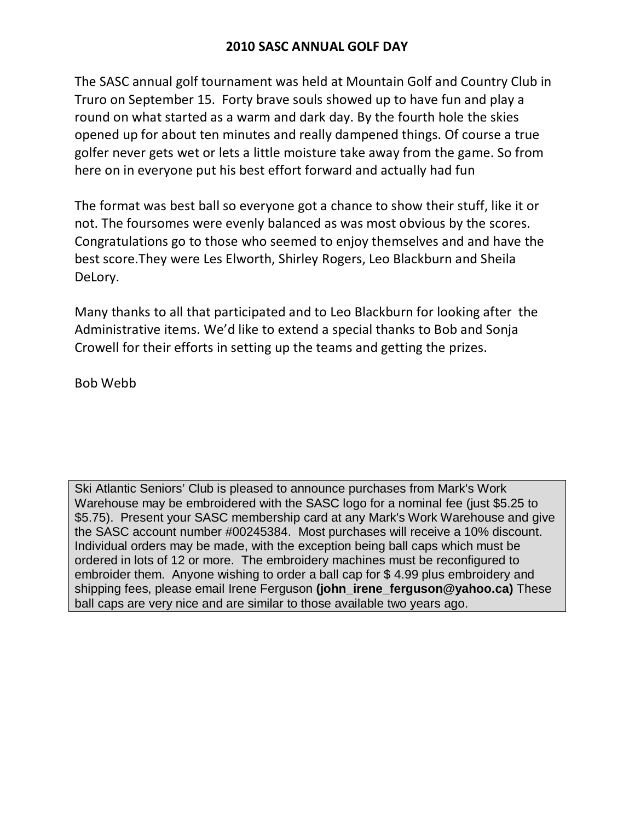### **2010 SASC ANNUAL GOLF DAY**

The SASC annual golf tournament was held at Mountain Golf and Country Club in Truro on September 15. Forty brave souls showed up to have fun and play a round on what started as a warm and dark day. By the fourth hole the skies opened up for about ten minutes and really dampened things. Of course a true golfer never gets wet or lets a little moisture take away from the game. So from here on in everyone put his best effort forward and actually had fun

The format was best ball so everyone got a chance to show their stuff, like it or not. The foursomes were evenly balanced as was most obvious by the scores. Congratulations go to those who seemed to enjoy themselves and and have the best score.They were Les Elworth, Shirley Rogers, Leo Blackburn and Sheila DeLory.

Many thanks to all that participated and to Leo Blackburn for looking after the Administrative items. We'd like to extend a special thanks to Bob and Sonja Crowell for their efforts in setting up the teams and getting the prizes.

Bob Webb

Ski Atlantic Seniors' Club is pleased to announce purchases from Mark's Work Warehouse may be embroidered with the SASC logo for a nominal fee (just \$5.25 to \$5.75). Present your SASC membership card at any Mark's Work Warehouse and give the SASC account number #00245384. Most purchases will receive a 10% discount. Individual orders may be made, with the exception being ball caps which must be ordered in lots of 12 or more. The embroidery machines must be reconfigured to embroider them. Anyone wishing to order a ball cap for \$ 4.99 plus embroidery and shipping fees, please email Irene Ferguson **(john\_irene\_ferguson@yahoo.ca)** These ball caps are very nice and are similar to those available two years ago.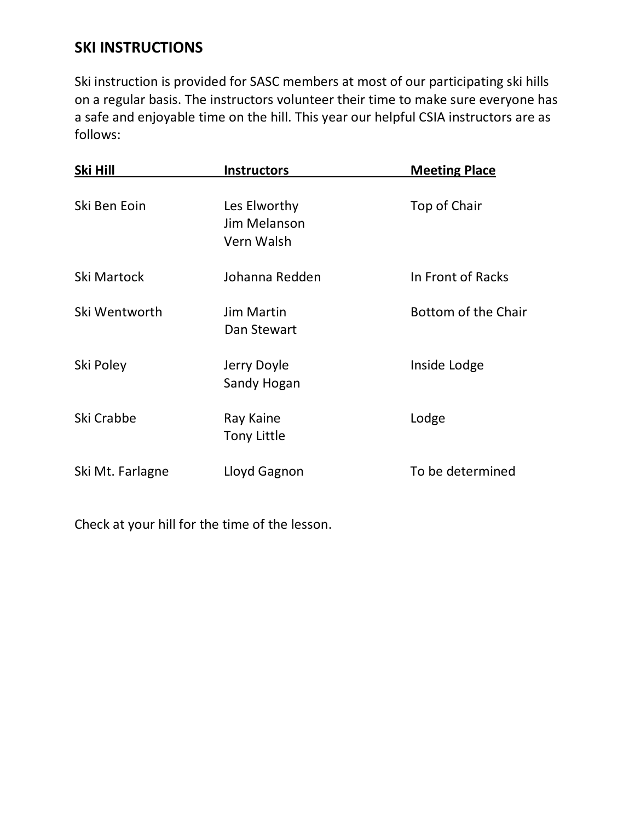## **SKI INSTRUCTIONS**

Ski instruction is provided for SASC members at most of our participating ski hills on a regular basis. The instructors volunteer their time to make sure everyone has a safe and enjoyable time on the hill. This year our helpful CSIA instructors are as follows:

| Ski Hill         | <b>Instructors</b>                         | <b>Meeting Place</b> |
|------------------|--------------------------------------------|----------------------|
| Ski Ben Eoin     | Les Elworthy<br>Jim Melanson<br>Vern Walsh | Top of Chair         |
| Ski Martock      | Johanna Redden                             | In Front of Racks    |
| Ski Wentworth    | <b>Jim Martin</b><br>Dan Stewart           | Bottom of the Chair  |
| Ski Poley        | Jerry Doyle<br>Sandy Hogan                 | Inside Lodge         |
| Ski Crabbe       | Ray Kaine<br><b>Tony Little</b>            | Lodge                |
| Ski Mt. Farlagne | Lloyd Gagnon                               | To be determined     |

Check at your hill for the time of the lesson.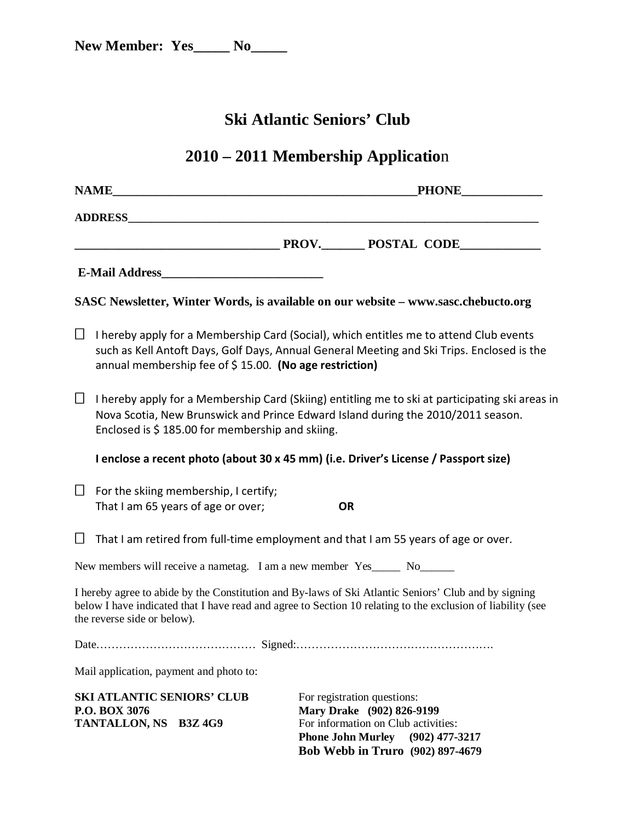# **Ski Atlantic Seniors' Club**

# **2010 – 2011 Membership Applicatio**n

|                                                                         | <b>NAME</b><br><b>PHONE</b>                                                                                                                                                                                                                                        |  |  |  |  |
|-------------------------------------------------------------------------|--------------------------------------------------------------------------------------------------------------------------------------------------------------------------------------------------------------------------------------------------------------------|--|--|--|--|
|                                                                         |                                                                                                                                                                                                                                                                    |  |  |  |  |
|                                                                         | PROV. POSTAL CODE                                                                                                                                                                                                                                                  |  |  |  |  |
|                                                                         |                                                                                                                                                                                                                                                                    |  |  |  |  |
|                                                                         | SASC Newsletter, Winter Words, is available on our website – www.sasc.chebucto.org                                                                                                                                                                                 |  |  |  |  |
| $\Box$                                                                  | I hereby apply for a Membership Card (Social), which entitles me to attend Club events<br>such as Kell Antoft Days, Golf Days, Annual General Meeting and Ski Trips. Enclosed is the<br>annual membership fee of \$15.00. (No age restriction)                     |  |  |  |  |
| $\Box$                                                                  | I hereby apply for a Membership Card (Skiing) entitling me to ski at participating ski areas in<br>Nova Scotia, New Brunswick and Prince Edward Island during the 2010/2011 season.<br>Enclosed is \$185.00 for membership and skiing.                             |  |  |  |  |
|                                                                         | I enclose a recent photo (about 30 x 45 mm) (i.e. Driver's License / Passport size)                                                                                                                                                                                |  |  |  |  |
| Ц                                                                       | For the skiing membership, I certify;<br>That I am 65 years of age or over;<br><b>OR</b>                                                                                                                                                                           |  |  |  |  |
| $\Box$                                                                  | That I am retired from full-time employment and that I am 55 years of age or over.                                                                                                                                                                                 |  |  |  |  |
| New members will receive a nametag. I am a new member Yes_____ No______ |                                                                                                                                                                                                                                                                    |  |  |  |  |
|                                                                         | I hereby agree to abide by the Constitution and By-laws of Ski Atlantic Seniors' Club and by signing<br>below I have indicated that I have read and agree to Section 10 relating to the exclusion of liability (see<br>the reverse side or below).                 |  |  |  |  |
|                                                                         |                                                                                                                                                                                                                                                                    |  |  |  |  |
|                                                                         | Mail application, payment and photo to:                                                                                                                                                                                                                            |  |  |  |  |
|                                                                         | <b>SKI ATLANTIC SENIORS' CLUB</b><br>For registration questions:<br>Mary Drake (902) 826-9199<br>P.O. BOX 3076<br>For information on Club activities:<br>TANTALLON, NS B3Z 4G9<br><b>Phone John Murley</b><br>$(902)$ 477-3217<br>Bob Webb in Truro (902) 897-4679 |  |  |  |  |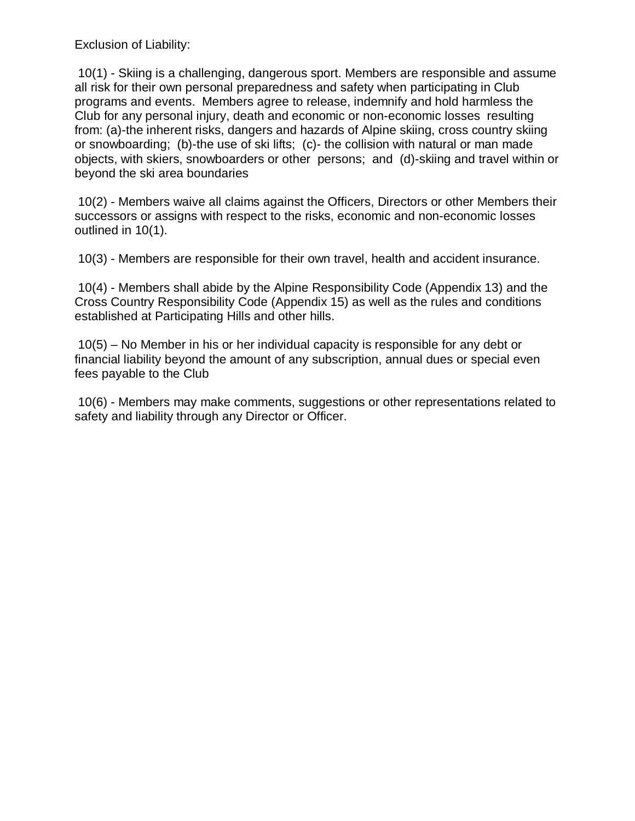Exclusion of Liability:

10(1) - Skiing is a challenging, dangerous sport. Members are responsible and assume all risk for their own personal preparedness and safety when participating in Club programs and events. Members agree to release, indemnify and hold harmless the Club for any personal injury, death and economic or non-economic losses resulting from: (a)-the inherent risks, dangers and hazards of Alpine skiing, cross country skiing or snowboarding; (b)-the use of ski lifts; (c)- the collision with natural or man made objects, with skiers, snowboarders or other persons; and (d)-skiing and travel within or beyond the ski area boundaries

10(2) - Members waive all claims against the Officers, Directors or other Members their successors or assigns with respect to the risks, economic and non-economic losses outlined in 10(1).

10(3) - Members are responsible for their own travel, health and accident insurance.

10(4) - Members shall abide by the Alpine Responsibility Code (Appendix 13) and the Cross Country Responsibility Code (Appendix 15) as well as the rules and conditions established at Participating Hills and other hills.

10(5) – No Member in his or her individual capacity is responsible for any debt or financial liability beyond the amount of any subscription, annual dues or special even fees payable to the Club

10(6) - Members may make comments, suggestions or other representations related to safety and liability through any Director or Officer.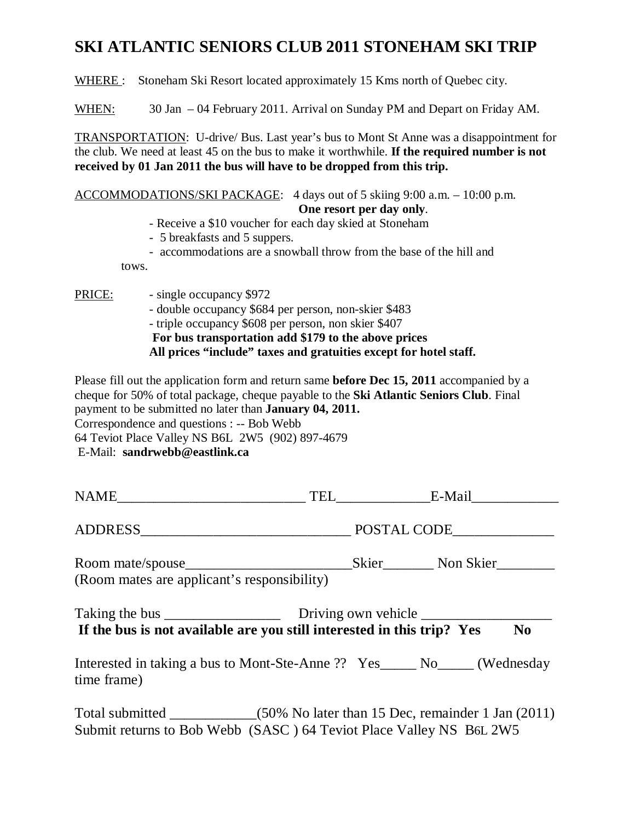# **SKI ATLANTIC SENIORS CLUB 2011 STONEHAM SKI TRIP**

WHERE : Stoneham Ski Resort located approximately 15 Kms north of Quebec city.

WHEN: 30 Jan – 04 February 2011. Arrival on Sunday PM and Depart on Friday AM.

TRANSPORTATION: U-drive/ Bus. Last year's bus to Mont St Anne was a disappointment for the club. We need at least 45 on the bus to make it worthwhile. **If the required number is not received by 01 Jan 2011 the bus will have to be dropped from this trip.**

ACCOMMODATIONS/SKI PACKAGE: 4 days out of 5 skiing 9:00 a.m. – 10:00 p.m. **One resort per day only**.

- Receive a \$10 voucher for each day skied at Stoneham
- 5 breakfasts and 5 suppers.
- accommodations are a snowball throw from the base of the hill and

tows.

PRICE:

- single occupancy \$972
- double occupancy \$684 per person, non-skier \$483 - triple occupancy \$608 per person, non skier \$407 **For bus transportation add \$179 to the above prices All prices "include" taxes and gratuities except for hotel staff.**

Please fill out the application form and return same **before Dec 15, 2011** accompanied by a cheque for 50% of total package, cheque payable to the **Ski Atlantic Seniors Club**. Final payment to be submitted no later than **January 04, 2011.**  Correspondence and questions : -- Bob Webb 64 Teviot Place Valley NS B6L 2W5 (902) 897-4679 E-Mail: **sandrwebb@eastlink.ca**

|                                             |                                                                             | TEL E-Mail                                             |  |
|---------------------------------------------|-----------------------------------------------------------------------------|--------------------------------------------------------|--|
|                                             |                                                                             |                                                        |  |
| (Room mates are applicant's responsibility) |                                                                             |                                                        |  |
|                                             | If the bus is not available are you still interested in this trip? Yes      | $\bf No$                                               |  |
| time frame)                                 | Interested in taking a bus to Mont-Ste-Anne ?? Yes______ No_____ (Wednesday |                                                        |  |
| Total submitted _____________               |                                                                             | $(50\%$ No later than 15 Dec, remainder 1 Jan $(2011)$ |  |

Submit returns to Bob Webb (SASC ) 64 Teviot Place Valley NS B6L 2W5